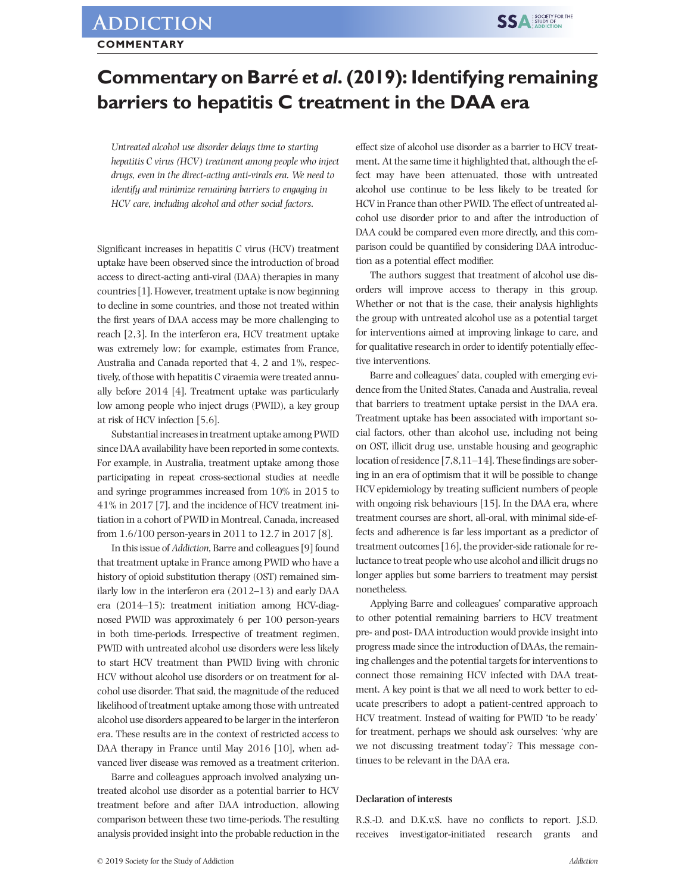## **Commentary on Barré** *et al***. (2019): Identifying remaining barriers to hepatitis C treatment in the DAA era**

*Untreated alcohol use disorder delays time to starting hepatitis C virus (HCV) treatment among people who inject drugs, even in the direct-acting anti-virals era. We need to identify and minimize remaining barriers to engaging in HCV care, including alcohol and other social factors*.

Significant increases in hepatitis C virus (HCV) treatment uptake have been observed since the introduction of broad access to direct-acting anti-viral (DAA) therapies in many countries [1]. However, treatment uptake is now beginning to decline in some countries, and those not treated within the first years of DAA access may be more challenging to reach [2,3]. In the interferon era, HCV treatment uptake was extremely low; for example, estimates from France, Australia and Canada reported that 4, 2 and 1%, respectively, of those with hepatitis C viraemia were treated annually before 2014 [4]. Treatment uptake was particularly low among people who inject drugs (PWID), a key group at risk of HCV infection [5,6].

Substantial increases in treatment uptake among PWID since DAA availability have been reported in some contexts. For example, in Australia, treatment uptake among those participating in repeat cross-sectional studies at needle and syringe programmes increased from 10% in 2015 to 41% in 2017 [7], and the incidence of HCV treatment initiation in a cohort of PWID in Montreal, Canada, increased from 1.6/100 person-years in 2011 to 12.7 in 2017 [8].

In this issue of *Addiction*, Barre and colleagues [9] found that treatment uptake in France among PWID who have a history of opioid substitution therapy (OST) remained similarly low in the interferon era (2012–13) and early DAA era (2014–15): treatment initiation among HCV-diagnosed PWID was approximately 6 per 100 person-years in both time-periods. Irrespective of treatment regimen, PWID with untreated alcohol use disorders were less likely to start HCV treatment than PWID living with chronic HCV without alcohol use disorders or on treatment for alcohol use disorder. That said, the magnitude of the reduced likelihood of treatment uptake among those with untreated alcohol use disorders appeared to be larger in the interferon era. These results are in the context of restricted access to DAA therapy in France until May 2016 [10], when advanced liver disease was removed as a treatment criterion.

Barre and colleagues approach involved analyzing untreated alcohol use disorder as a potential barrier to HCV treatment before and after DAA introduction, allowing comparison between these two time-periods. The resulting analysis provided insight into the probable reduction in the

effect size of alcohol use disorder as a barrier to HCV treatment. At the same time it highlighted that, although the effect may have been attenuated, those with untreated alcohol use continue to be less likely to be treated for HCV in France than other PWID. The effect of untreated alcohol use disorder prior to and after the introduction of DAA could be compared even more directly, and this comparison could be quantified by considering DAA introduction as a potential effect modifier.

**SSA SOCIETY FOR THE** 

The authors suggest that treatment of alcohol use disorders will improve access to therapy in this group. Whether or not that is the case, their analysis highlights the group with untreated alcohol use as a potential target for interventions aimed at improving linkage to care, and for qualitative research in order to identify potentially effective interventions.

Barre and colleagues' data, coupled with emerging evidence from the United States, Canada and Australia, reveal that barriers to treatment uptake persist in the DAA era. Treatment uptake has been associated with important social factors, other than alcohol use, including not being on OST, illicit drug use, unstable housing and geographic location of residence [7,8,11–14]. These findings are sobering in an era of optimism that it will be possible to change HCV epidemiology by treating sufficient numbers of people with ongoing risk behaviours [15]. In the DAA era, where treatment courses are short, all-oral, with minimal side-effects and adherence is far less important as a predictor of treatment outcomes [16], the provider-side rationale for reluctance to treat people who use alcohol and illicit drugs no longer applies but some barriers to treatment may persist nonetheless.

Applying Barre and colleagues' comparative approach to other potential remaining barriers to HCV treatment pre- and post- DAA introduction would provide insight into progress made since the introduction of DAAs, the remaining challenges and the potential targets for interventions to connect those remaining HCV infected with DAA treatment. A key point is that we all need to work better to educate prescribers to adopt a patient-centred approach to HCV treatment. Instead of waiting for PWID 'to be ready' for treatment, perhaps we should ask ourselves: 'why are we not discussing treatment today'? This message continues to be relevant in the DAA era.

## **Declaration of interests**

R.S.-D. and D.K.v.S. have no conflicts to report. J.S.D. receives investigator-initiated research grants and